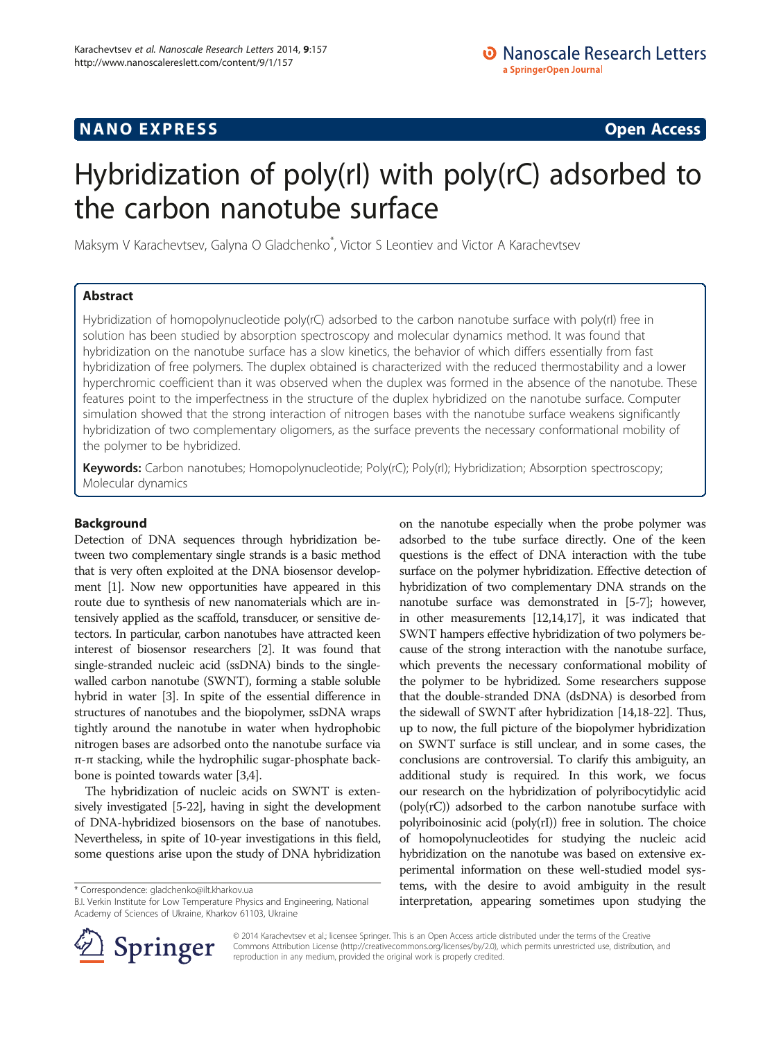# **NANO EXPRESS** Open Access **CONTROL**

# Hybridization of poly(rI) with poly(rC) adsorbed to the carbon nanotube surface

Maksym V Karachevtsev, Galyna O Gladchenko<sup>\*</sup>, Victor S Leontiev and Victor A Karachevtsev

# Abstract

Hybridization of homopolynucleotide poly(rC) adsorbed to the carbon nanotube surface with poly(rI) free in solution has been studied by absorption spectroscopy and molecular dynamics method. It was found that hybridization on the nanotube surface has a slow kinetics, the behavior of which differs essentially from fast hybridization of free polymers. The duplex obtained is characterized with the reduced thermostability and a lower hyperchromic coefficient than it was observed when the duplex was formed in the absence of the nanotube. These features point to the imperfectness in the structure of the duplex hybridized on the nanotube surface. Computer simulation showed that the strong interaction of nitrogen bases with the nanotube surface weakens significantly hybridization of two complementary oligomers, as the surface prevents the necessary conformational mobility of the polymer to be hybridized.

Keywords: Carbon nanotubes; Homopolynucleotide; Poly(rC); Poly(rl); Hybridization; Absorption spectroscopy; Molecular dynamics

## Background

Detection of DNA sequences through hybridization between two complementary single strands is a basic method that is very often exploited at the DNA biosensor development [\[1\]](#page-6-0). Now new opportunities have appeared in this route due to synthesis of new nanomaterials which are intensively applied as the scaffold, transducer, or sensitive detectors. In particular, carbon nanotubes have attracted keen interest of biosensor researchers [[2](#page-6-0)]. It was found that single-stranded nucleic acid (ssDNA) binds to the singlewalled carbon nanotube (SWNT), forming a stable soluble hybrid in water [\[3](#page-6-0)]. In spite of the essential difference in structures of nanotubes and the biopolymer, ssDNA wraps tightly around the nanotube in water when hydrophobic nitrogen bases are adsorbed onto the nanotube surface via π-π stacking, while the hydrophilic sugar-phosphate backbone is pointed towards water [[3,4\]](#page-6-0).

The hybridization of nucleic acids on SWNT is extensively investigated [\[5](#page-6-0)[-22\]](#page-7-0), having in sight the development of DNA-hybridized biosensors on the base of nanotubes. Nevertheless, in spite of 10-year investigations in this field, some questions arise upon the study of DNA hybridization

\* Correspondence: [gladchenko@ilt.kharkov.ua](mailto:gladchenko@ilt.kharkov.ua)

B.I. Verkin Institute for Low Temperature Physics and Engineering, National Academy of Sciences of Ukraine, Kharkov 61103, Ukraine





© 2014 Karachevtsev et al.; licensee Springer. This is an Open Access article distributed under the terms of the Creative Commons Attribution License (<http://creativecommons.org/licenses/by/2.0>), which permits unrestricted use, distribution, and reproduction in any medium, provided the original work is properly credited.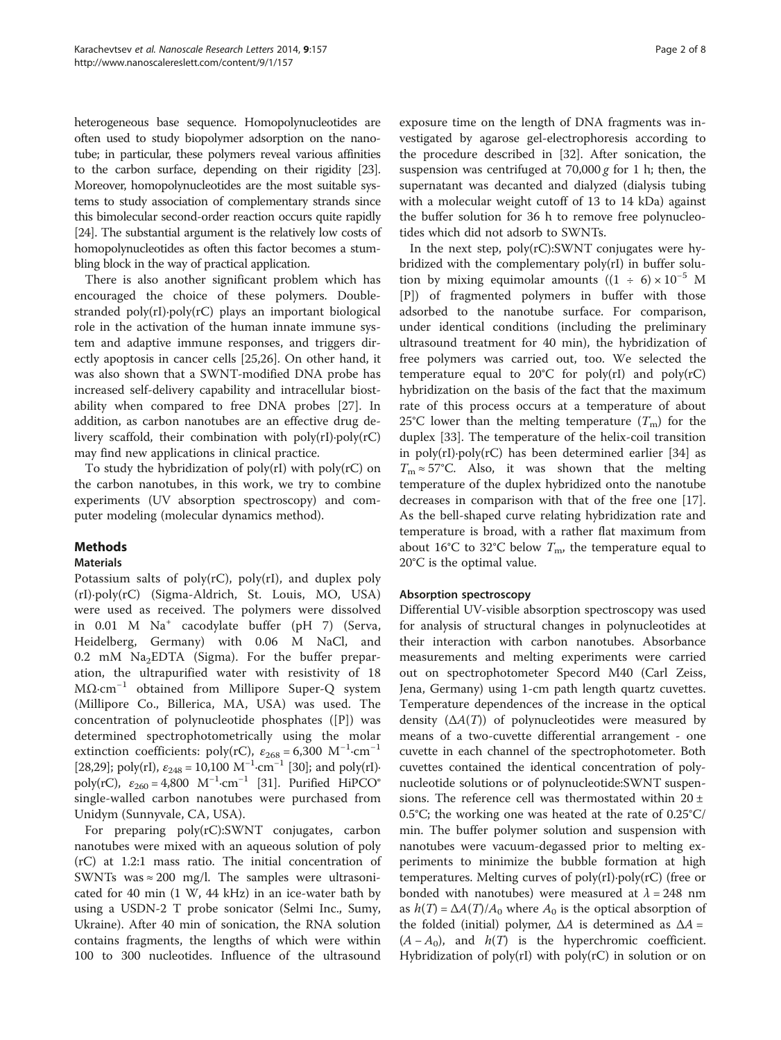heterogeneous base sequence. Homopolynucleotides are often used to study biopolymer adsorption on the nanotube; in particular, these polymers reveal various affinities to the carbon surface, depending on their rigidity [\[23](#page-7-0)]. Moreover, homopolynucleotides are the most suitable systems to study association of complementary strands since this bimolecular second-order reaction occurs quite rapidly [[24](#page-7-0)]. The substantial argument is the relatively low costs of homopolynucleotides as often this factor becomes a stumbling block in the way of practical application.

There is also another significant problem which has encouraged the choice of these polymers. Doublestranded poly(rI)∙poly(rC) plays an important biological role in the activation of the human innate immune system and adaptive immune responses, and triggers directly apoptosis in cancer cells [[25,26\]](#page-7-0). On other hand, it was also shown that a SWNT-modified DNA probe has increased self-delivery capability and intracellular biostability when compared to free DNA probes [[27\]](#page-7-0). In addition, as carbon nanotubes are an effective drug delivery scaffold, their combination with poly(rI)∙poly(rC) may find new applications in clinical practice.

To study the hybridization of  $poly(rI)$  with  $poly(rC)$  on the carbon nanotubes, in this work, we try to combine experiments (UV absorption spectroscopy) and computer modeling (molecular dynamics method).

# Methods

# Materials

Potassium salts of  $poly(rC)$ ,  $poly(rI)$ , and duplex poly (rI)∙poly(rC) (Sigma-Aldrich, St. Louis, MO, USA) were used as received. The polymers were dissolved in 0.01 M Na<sup>+</sup> cacodylate buffer (pH 7) (Serva, Heidelberg, Germany) with 0.06 M NaCl, and 0.2 mM  $Na<sub>2</sub>EDTA$  (Sigma). For the buffer preparation, the ultrapurified water with resistivity of 18 MΩ∙cm−<sup>1</sup> obtained from Millipore Super-Q system (Millipore Co., Billerica, MA, USA) was used. The concentration of polynucleotide phosphates ([P]) was determined spectrophotometrically using the molar extinction coefficients: poly(rC),  $\varepsilon_{268}$  = 6,300 M<sup>-1</sup>·cm<sup>-1</sup> [[28,29](#page-7-0)]; poly(rI),  $\varepsilon_{248} = 10,100 \text{ M}^{-1} \cdot \text{cm}^{-1}$  [\[30\]](#page-7-0); and poly(rI) $\cdot$ poly(rC),  $\varepsilon_{260} = 4,800 \text{ M}^{-1} \cdot \text{cm}^{-1}$  [\[31\]](#page-7-0). Purified HiPCO® single-walled carbon nanotubes were purchased from Unidym (Sunnyvale, CA, USA).

For preparing poly(rC):SWNT conjugates, carbon nanotubes were mixed with an aqueous solution of poly (rC) at 1.2:1 mass ratio. The initial concentration of SWNTs was  $\approx 200$  mg/l. The samples were ultrasonicated for 40 min (1 W, 44 kHz) in an ice-water bath by using a USDN-2 T probe sonicator (Selmi Inc., Sumy, Ukraine). After 40 min of sonication, the RNA solution contains fragments, the lengths of which were within 100 to 300 nucleotides. Influence of the ultrasound exposure time on the length of DNA fragments was investigated by agarose gel-electrophoresis according to the procedure described in [[32\]](#page-7-0). After sonication, the suspension was centrifuged at  $70,000$  g for 1 h; then, the supernatant was decanted and dialyzed (dialysis tubing with a molecular weight cutoff of 13 to 14 kDa) against the buffer solution for 36 h to remove free polynucleotides which did not adsorb to SWNTs.

In the next step, poly(rC):SWNT conjugates were hybridized with the complementary poly(rI) in buffer solution by mixing equimolar amounts ((1 ÷ 6) ×  $10^{-5}$  M [P]) of fragmented polymers in buffer with those adsorbed to the nanotube surface. For comparison, under identical conditions (including the preliminary ultrasound treatment for 40 min), the hybridization of free polymers was carried out, too. We selected the temperature equal to  $20^{\circ}$ C for poly(rI) and poly(rC) hybridization on the basis of the fact that the maximum rate of this process occurs at a temperature of about 25°C lower than the melting temperature  $(T<sub>m</sub>)$  for the duplex [[33\]](#page-7-0). The temperature of the helix-coil transition in poly(rI)∙poly(rC) has been determined earlier [\[34\]](#page-7-0) as  $T_m \approx 57$ °C. Also, it was shown that the melting temperature of the duplex hybridized onto the nanotube decreases in comparison with that of the free one [\[17](#page-7-0)]. As the bell-shaped curve relating hybridization rate and temperature is broad, with a rather flat maximum from about 16°C to 32°C below  $T_m$ , the temperature equal to 20°C is the optimal value.

### Absorption spectroscopy

Differential UV-visible absorption spectroscopy was used for analysis of structural changes in polynucleotides at their interaction with carbon nanotubes. Absorbance measurements and melting experiments were carried out on spectrophotometer Specord M40 (Carl Zeiss, Jena, Germany) using 1-cm path length quartz cuvettes. Temperature dependences of the increase in the optical density  $(\Delta A(T))$  of polynucleotides were measured by means of a two-cuvette differential arrangement - one cuvette in each channel of the spectrophotometer. Both cuvettes contained the identical concentration of polynucleotide solutions or of polynucleotide:SWNT suspensions. The reference cell was thermostated within  $20 \pm$ 0.5°C; the working one was heated at the rate of 0.25°C/ min. The buffer polymer solution and suspension with nanotubes were vacuum-degassed prior to melting experiments to minimize the bubble formation at high temperatures. Melting curves of poly(rI)∙poly(rC) (free or bonded with nanotubes) were measured at  $\lambda = 248$  nm as  $h(T) = \Delta A(T)/A_0$  where  $A_0$  is the optical absorption of the folded (initial) polymer,  $\Delta A$  is determined as  $\Delta A =$  $(A - A_0)$ , and  $h(T)$  is the hyperchromic coefficient. Hybridization of poly(rI) with poly(rC) in solution or on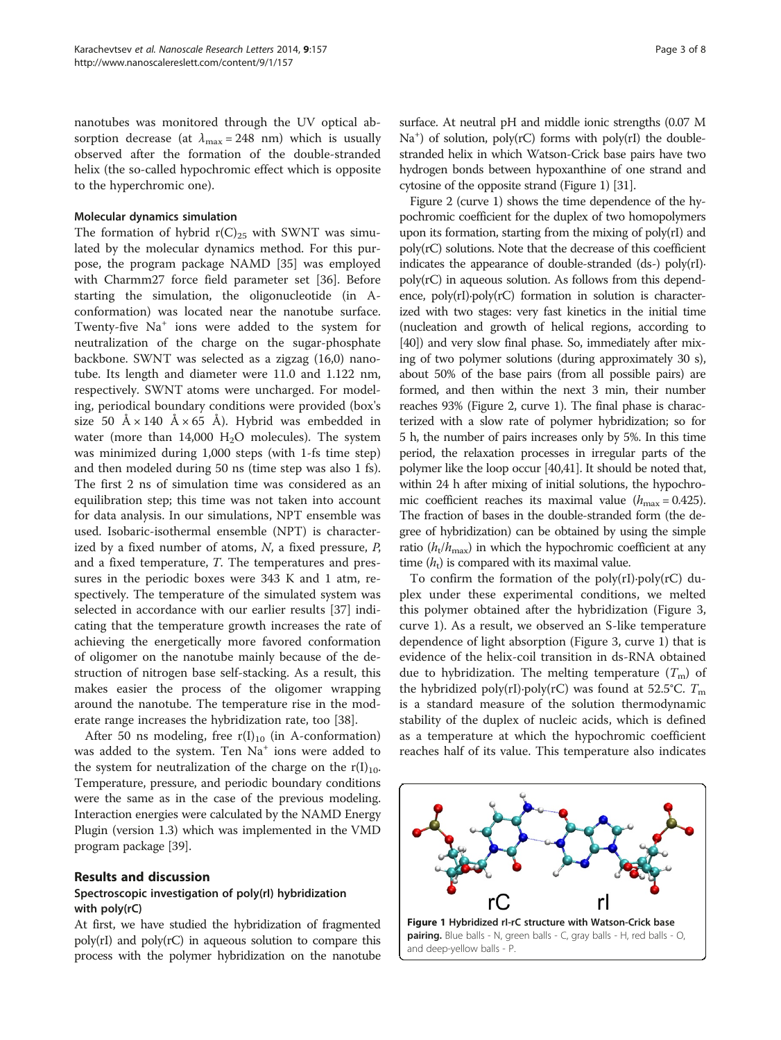nanotubes was monitored through the UV optical absorption decrease (at  $\lambda_{\text{max}} = 248 \text{ nm}$ ) which is usually observed after the formation of the double-stranded helix (the so-called hypochromic effect which is opposite to the hyperchromic one).

#### Molecular dynamics simulation

The formation of hybrid  $r(C)_{25}$  with SWNT was simulated by the molecular dynamics method. For this purpose, the program package NAMD [\[35\]](#page-7-0) was employed with Charmm27 force field parameter set [\[36](#page-7-0)]. Before starting the simulation, the oligonucleotide (in Aconformation) was located near the nanotube surface. Twenty-five  $Na<sup>+</sup>$  ions were added to the system for neutralization of the charge on the sugar-phosphate backbone. SWNT was selected as a zigzag (16,0) nanotube. Its length and diameter were 11.0 and 1.122 nm, respectively. SWNT atoms were uncharged. For modeling, periodical boundary conditions were provided (box's size 50 Å  $\times$  140 Å  $\times$  65 Å). Hybrid was embedded in water (more than  $14,000$  H<sub>2</sub>O molecules). The system was minimized during 1,000 steps (with 1-fs time step) and then modeled during 50 ns (time step was also 1 fs). The first 2 ns of simulation time was considered as an equilibration step; this time was not taken into account for data analysis. In our simulations, NPT ensemble was used. Isobaric-isothermal ensemble (NPT) is characterized by a fixed number of atoms,  $N$ , a fixed pressure,  $P$ , and a fixed temperature, T. The temperatures and pressures in the periodic boxes were 343 K and 1 atm, respectively. The temperature of the simulated system was selected in accordance with our earlier results [[37\]](#page-7-0) indicating that the temperature growth increases the rate of achieving the energetically more favored conformation of oligomer on the nanotube mainly because of the destruction of nitrogen base self-stacking. As a result, this makes easier the process of the oligomer wrapping around the nanotube. The temperature rise in the moderate range increases the hybridization rate, too [[38\]](#page-7-0).

After 50 ns modeling, free  $r(I)_{10}$  (in A-conformation) was added to the system. Ten Na<sup>+</sup> ions were added to the system for neutralization of the charge on the  $r(I)_{10}$ . Temperature, pressure, and periodic boundary conditions were the same as in the case of the previous modeling. Interaction energies were calculated by the NAMD Energy Plugin (version 1.3) which was implemented in the VMD program package [\[39\]](#page-7-0).

#### Results and discussion

#### Spectroscopic investigation of poly(rI) hybridization with poly(rC)

At first, we have studied the hybridization of fragmented poly(rI) and poly(rC) in aqueous solution to compare this process with the polymer hybridization on the nanotube surface. At neutral pH and middle ionic strengths (0.07 M Na<sup>+</sup>) of solution, poly(rC) forms with poly(rI) the doublestranded helix in which Watson-Crick base pairs have two hydrogen bonds between hypoxanthine of one strand and cytosine of the opposite strand (Figure 1) [[31](#page-7-0)].

Figure [2](#page-3-0) (curve 1) shows the time dependence of the hypochromic coefficient for the duplex of two homopolymers upon its formation, starting from the mixing of poly(rI) and poly(rC) solutions. Note that the decrease of this coefficient indicates the appearance of double-stranded (ds-) poly(rI)∙ poly(rC) in aqueous solution. As follows from this dependence, poly(rI)∙poly(rC) formation in solution is characterized with two stages: very fast kinetics in the initial time (nucleation and growth of helical regions, according to [[40](#page-7-0)]) and very slow final phase. So, immediately after mixing of two polymer solutions (during approximately 30 s), about 50% of the base pairs (from all possible pairs) are formed, and then within the next 3 min, their number reaches 93% (Figure [2](#page-3-0), curve 1). The final phase is characterized with a slow rate of polymer hybridization; so for 5 h, the number of pairs increases only by 5%. In this time period, the relaxation processes in irregular parts of the polymer like the loop occur [\[40,41](#page-7-0)]. It should be noted that, within 24 h after mixing of initial solutions, the hypochromic coefficient reaches its maximal value ( $h_{\text{max}} = 0.425$ ). The fraction of bases in the double-stranded form (the degree of hybridization) can be obtained by using the simple ratio ( $h_t/h_{\text{max}}$ ) in which the hypochromic coefficient at any time  $(h_t)$  is compared with its maximal value.

To confirm the formation of the poly(rI)∙рoly(rC) duplex under these experimental conditions, we melted this polymer obtained after the hybridization (Figure [3](#page-3-0), curve 1). As a result, we observed an S-like temperature dependence of light absorption (Figure [3,](#page-3-0) curve 1) that is evidence of the helix-coil transition in ds-RNA obtained due to hybridization. The melting temperature  $(T_{\rm m})$  of the hybridized poly(rI)∙poly(rC) was found at 52.5°C.  $T_m$ is a standard measure of the solution thermodynamic stability of the duplex of nucleic acids, which is defined as a temperature at which the hypochromic coefficient reaches half of its value. This temperature also indicates

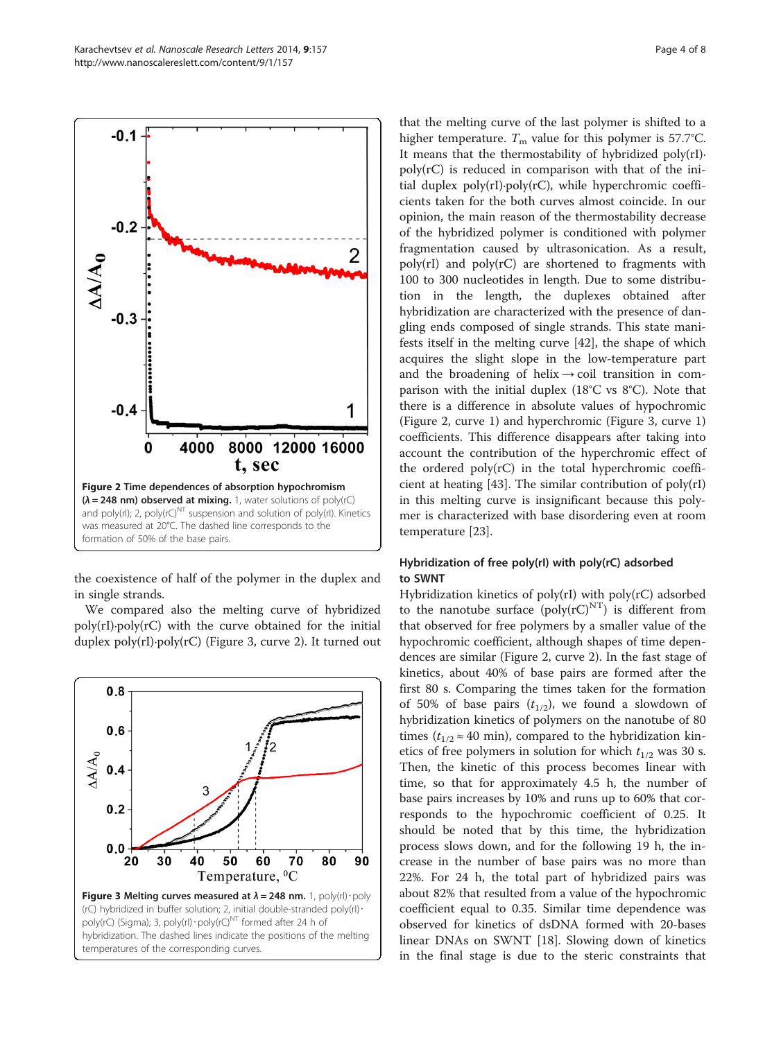<span id="page-3-0"></span>

the coexistence of half of the polymer in the duplex and in single strands.

We compared also the melting curve of hybridized poly(rI)∙poly(rC) with the curve obtained for the initial duplex poly(rI)∙рoly(rC) (Figure 3, curve 2). It turned out



that the melting curve of the last polymer is shifted to a higher temperature.  $T_m$  value for this polymer is 57.7°C. It means that the thermostability of hybridized poly(rI)∙ poly(rC) is reduced in comparison with that of the initial duplex poly(rI)∙poly(rC), while hyperchromic coefficients taken for the both curves almost coincide. In our opinion, the main reason of the thermostability decrease of the hybridized polymer is conditioned with polymer fragmentation caused by ultrasonication. As a result, poly(rI) and poly(rC) are shortened to fragments with 100 to 300 nucleotides in length. Due to some distribution in the length, the duplexes obtained after hybridization are characterized with the presence of dangling ends composed of single strands. This state manifests itself in the melting curve [[42\]](#page-7-0), the shape of which acquires the slight slope in the low-temperature part and the broadening of helix  $\rightarrow$  coil transition in comparison with the initial duplex (18°C vs 8°C). Note that there is a difference in absolute values of hypochromic (Figure 2, curve 1) and hyperchromic (Figure 3, curve 1) coefficients. This difference disappears after taking into account the contribution of the hyperchromic effect of the ordered poly(rC) in the total hyperchromic coefficient at heating [[43](#page-7-0)]. The similar contribution of poly(rI) in this melting curve is insignificant because this polymer is characterized with base disordering even at room temperature [[23\]](#page-7-0).

#### Hybridization of free poly(rI) with poly(rC) adsorbed to SWNT

Hybridization kinetics of poly(rI) with poly(rC) adsorbed to the nanotube surface (poly( $rC$ )<sup>NT</sup>) is different from that observed for free polymers by a smaller value of the hypochromic coefficient, although shapes of time dependences are similar (Figure 2, curve 2). In the fast stage of kinetics, about 40% of base pairs are formed after the first 80 s. Comparing the times taken for the formation of 50% of base pairs  $(t_{1/2})$ , we found a slowdown of hybridization kinetics of polymers on the nanotube of 80 times ( $t_{1/2} \approx 40$  min), compared to the hybridization kinetics of free polymers in solution for which  $t_{1/2}$  was 30 s. Then, the kinetic of this process becomes linear with time, so that for approximately 4.5 h, the number of base pairs increases by 10% and runs up to 60% that corresponds to the hypochromic coefficient of 0.25. It should be noted that by this time, the hybridization process slows down, and for the following 19 h, the increase in the number of base pairs was no more than 22%. For 24 h, the total part of hybridized pairs was about 82% that resulted from a value of the hypochromic coefficient equal to 0.35. Similar time dependence was observed for kinetics of dsDNA formed with 20-bases linear DNAs on SWNT [[18\]](#page-7-0). Slowing down of kinetics in the final stage is due to the steric constraints that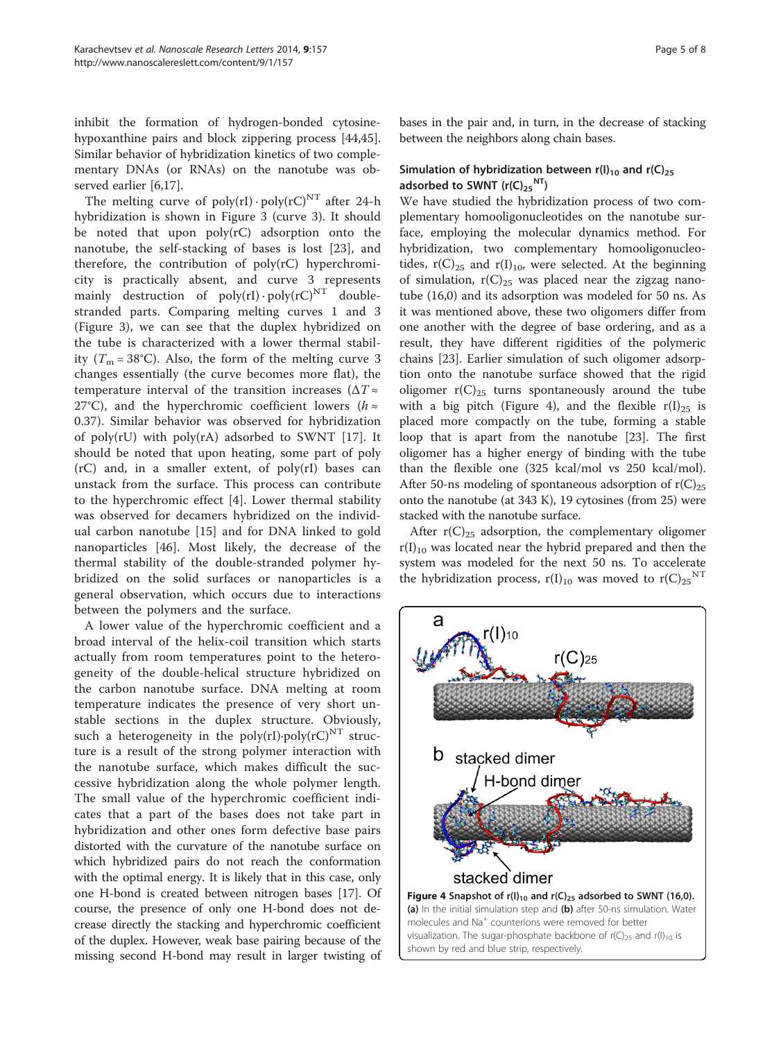<span id="page-4-0"></span>inhibit the formation of hydrogen-bonded cytosinehypoxanthine pairs and block zippering process [\[44,45](#page-7-0)]. Similar behavior of hybridization kinetics of two complementary DNAs (or RNAs) on the nanotube was observed earlier [[6,](#page-6-0)[17\]](#page-7-0).

The melting curve of  $poly(rI) \cdot poly(rC)^{NT}$  after 24-h hybridization is shown in Figure [3](#page-3-0) (curve 3). It should be noted that upon poly(rC) adsorption onto the nanotube, the self-stacking of bases is lost [[23\]](#page-7-0), and therefore, the contribution of poly(rC) hyperchromicity is practically absent, and curve 3 represents mainly destruction of  $poly(rI) \cdot poly(rC)^{NT}$  doublestranded parts. Comparing melting curves 1 and 3 (Figure [3\)](#page-3-0), we can see that the duplex hybridized on the tube is characterized with a lower thermal stability  $(T_m = 38^{\circ} \text{C})$ . Also, the form of the melting curve 3 changes essentially (the curve becomes more flat), the temperature interval of the transition increases ( $\Delta T \approx$ 27°C), and the hyperchromic coefficient lowers ( $h \approx$ 0.37). Similar behavior was observed for hybridization of poly(rU) with poly(rA) adsorbed to SWNT [[17\]](#page-7-0). It should be noted that upon heating, some part of poly (rC) and, in a smaller extent, of poly(rI) bases can unstack from the surface. This process can contribute to the hyperchromic effect [[4\]](#page-6-0). Lower thermal stability was observed for decamers hybridized on the individual carbon nanotube [\[15](#page-7-0)] and for DNA linked to gold nanoparticles [[46\]](#page-7-0). Most likely, the decrease of the thermal stability of the double-stranded polymer hybridized on the solid surfaces or nanoparticles is a general observation, which occurs due to interactions between the polymers and the surface.

A lower value of the hyperchromic coefficient and a broad interval of the helix-coil transition which starts actually from room temperatures point to the heterogeneity of the double-helical structure hybridized on the carbon nanotube surface. DNA melting at room temperature indicates the presence of very short unstable sections in the duplex structure. Obviously, such a heterogeneity in the poly(rI)⋅poly(rC)<sup>NT</sup> structure is a result of the strong polymer interaction with the nanotube surface, which makes difficult the successive hybridization along the whole polymer length. The small value of the hyperchromic coefficient indicates that a part of the bases does not take part in hybridization and other ones form defective base pairs distorted with the curvature of the nanotube surface on which hybridized pairs do not reach the conformation with the optimal energy. It is likely that in this case, only one H-bond is created between nitrogen bases [[17](#page-7-0)]. Of course, the presence of only one H-bond does not decrease directly the stacking and hyperchromic coefficient of the duplex. However, weak base pairing because of the missing second H-bond may result in larger twisting of bases in the pair and, in turn, in the decrease of stacking between the neighbors along chain bases.

# Simulation of hybridization between  $r(1)<sub>10</sub>$  and  $r(C)<sub>25</sub>$ adsorbed to SWNT  $(r(C)_{25}^{NT})$

We have studied the hybridization process of two complementary homooligonucleotides on the nanotube surface, employing the molecular dynamics method. For hybridization, two complementary homooligonucleotides,  $r(C)_{25}$  and  $r(I)_{10}$ , were selected. At the beginning of simulation,  $r(C)_{25}$  was placed near the zigzag nanotube (16,0) and its adsorption was modeled for 50 ns. As it was mentioned above, these two oligomers differ from one another with the degree of base ordering, and as a result, they have different rigidities of the polymeric chains [\[23](#page-7-0)]. Earlier simulation of such oligomer adsorption onto the nanotube surface showed that the rigid oligomer  $r(C)_{25}$  turns spontaneously around the tube with a big pitch (Figure 4), and the flexible  $r(I)_{25}$  is placed more compactly on the tube, forming a stable loop that is apart from the nanotube [[23\]](#page-7-0). The first oligomer has a higher energy of binding with the tube than the flexible one (325 kcal/mol vs 250 kcal/mol). After 50-ns modeling of spontaneous adsorption of  $r(C)_{25}$ onto the nanotube (at 343 K), 19 cytosines (from 25) were stacked with the nanotube surface.

After  $r(C)_{25}$  adsorption, the complementary oligomer  $r(I)_{10}$  was located near the hybrid prepared and then the system was modeled for the next 50 ns. To accelerate the hybridization process, r(I)<sub>10</sub> was moved to r(C)<sub>25</sub><sup>NT</sup>

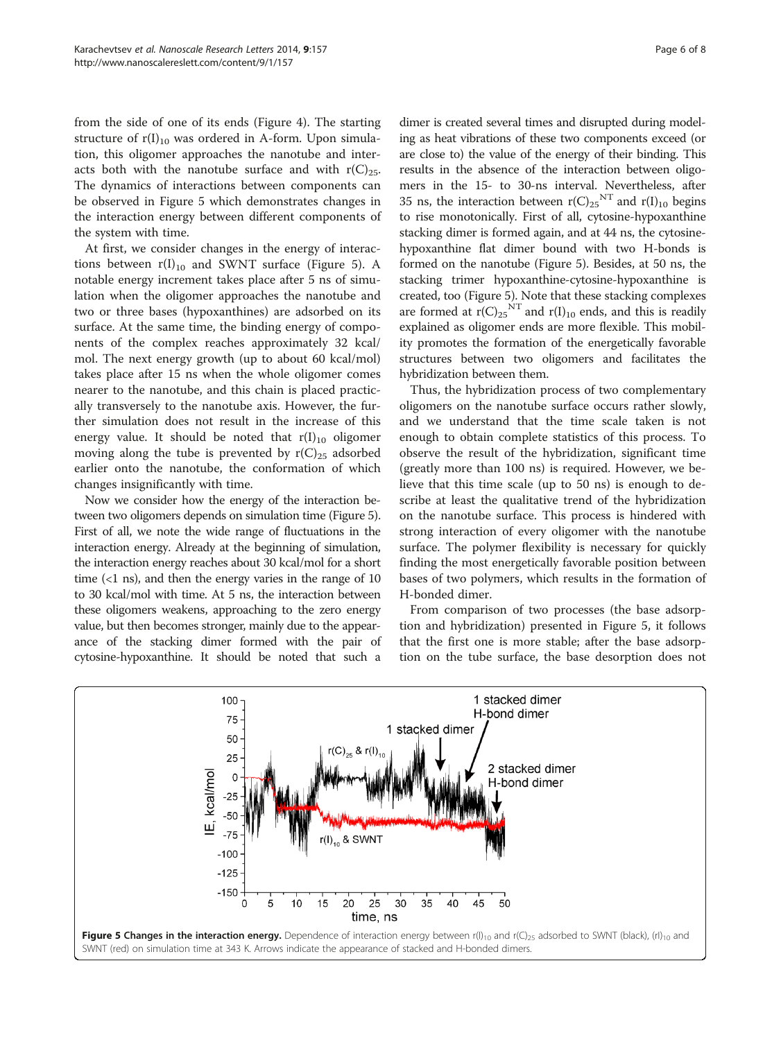from the side of one of its ends (Figure [4\)](#page-4-0). The starting structure of  $r(I)_{10}$  was ordered in A-form. Upon simulation, this oligomer approaches the nanotube and interacts both with the nanotube surface and with  $r(C)_{25}$ . The dynamics of interactions between components can be observed in Figure 5 which demonstrates changes in the interaction energy between different components of the system with time.

At first, we consider changes in the energy of interactions between  $r(I)_{10}$  and SWNT surface (Figure 5). A notable energy increment takes place after 5 ns of simulation when the oligomer approaches the nanotube and two or three bases (hypoxanthines) are adsorbed on its surface. At the same time, the binding energy of components of the complex reaches approximately 32 kcal/ mol. The next energy growth (up to about 60 kcal/mol) takes place after 15 ns when the whole oligomer comes nearer to the nanotube, and this chain is placed practically transversely to the nanotube axis. However, the further simulation does not result in the increase of this energy value. It should be noted that  $r(I)_{10}$  oligomer moving along the tube is prevented by  $r(C)_{25}$  adsorbed earlier onto the nanotube, the conformation of which changes insignificantly with time.

Now we consider how the energy of the interaction between two oligomers depends on simulation time (Figure 5). First of all, we note the wide range of fluctuations in the interaction energy. Already at the beginning of simulation, the interaction energy reaches about 30 kcal/mol for a short time  $( $1 \text{ ns}$ ), and then the energy varies in the range of 10$ to 30 kcal/mol with time. At 5 ns, the interaction between these oligomers weakens, approaching to the zero energy value, but then becomes stronger, mainly due to the appearance of the stacking dimer formed with the pair of cytosine-hypoxanthine. It should be noted that such a

dimer is created several times and disrupted during modeling as heat vibrations of these two components exceed (or are close to) the value of the energy of their binding. This results in the absence of the interaction between oligomers in the 15- to 30-ns interval. Nevertheless, after 35 ns, the interaction between  $r(C)_{25}^{NT}$  and  $r(I)_{10}$  begins to rise monotonically. First of all, cytosine-hypoxanthine stacking dimer is formed again, and at 44 ns, the cytosinehypoxanthine flat dimer bound with two H-bonds is formed on the nanotube (Figure 5). Besides, at 50 ns, the stacking trimer hypoxanthine-cytosine-hypoxanthine is created, too (Figure 5). Note that these stacking complexes are formed at  $r(C)_{25}$ <sup>NT</sup> and  $r(I)_{10}$  ends, and this is readily explained as oligomer ends are more flexible. This mobility promotes the formation of the energetically favorable structures between two oligomers and facilitates the hybridization between them.

Thus, the hybridization process of two complementary oligomers on the nanotube surface occurs rather slowly, and we understand that the time scale taken is not enough to obtain complete statistics of this process. To observe the result of the hybridization, significant time (greatly more than 100 ns) is required. However, we believe that this time scale (up to 50 ns) is enough to describe at least the qualitative trend of the hybridization on the nanotube surface. This process is hindered with strong interaction of every oligomer with the nanotube surface. The polymer flexibility is necessary for quickly finding the most energetically favorable position between bases of two polymers, which results in the formation of H-bonded dimer.

From comparison of two processes (the base adsorption and hybridization) presented in Figure 5, it follows that the first one is more stable; after the base adsorption on the tube surface, the base desorption does not

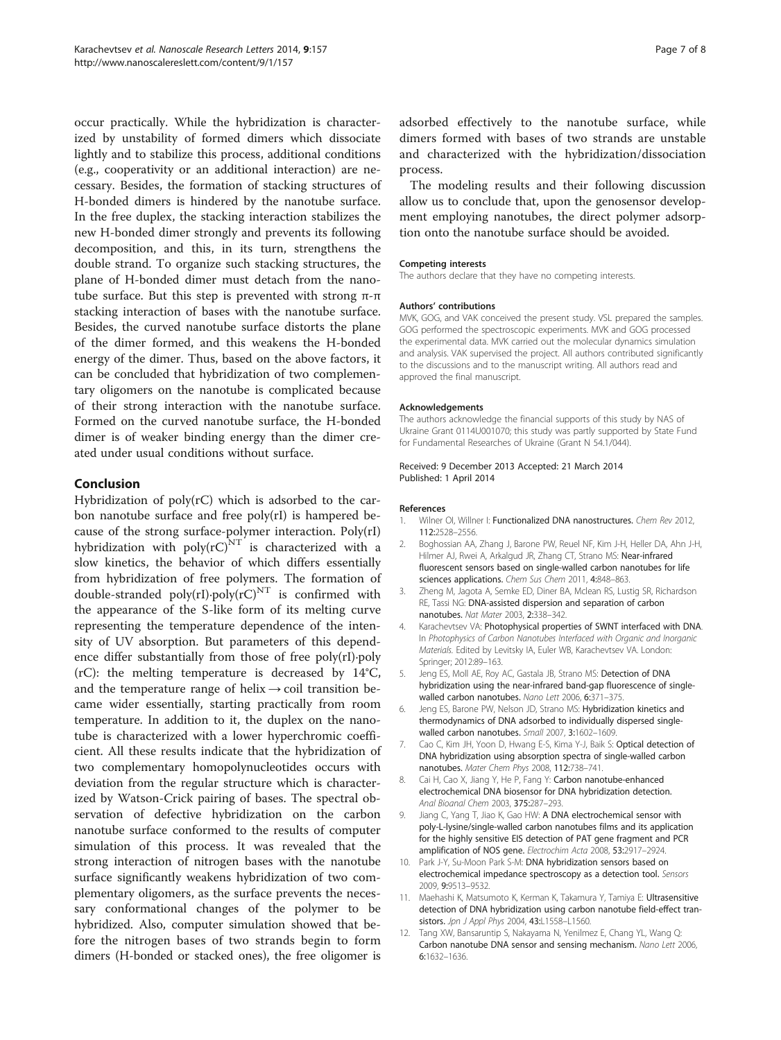<span id="page-6-0"></span>occur practically. While the hybridization is characterized by unstability of formed dimers which dissociate lightly and to stabilize this process, additional conditions (e.g., cooperativity or an additional interaction) are necessary. Besides, the formation of stacking structures of H-bonded dimers is hindered by the nanotube surface. In the free duplex, the stacking interaction stabilizes the new H-bonded dimer strongly and prevents its following decomposition, and this, in its turn, strengthens the double strand. To organize such stacking structures, the plane of H-bonded dimer must detach from the nanotube surface. But this step is prevented with strong π-π stacking interaction of bases with the nanotube surface. Besides, the curved nanotube surface distorts the plane of the dimer formed, and this weakens the H-bonded energy of the dimer. Thus, based on the above factors, it can be concluded that hybridization of two complementary oligomers on the nanotube is complicated because of their strong interaction with the nanotube surface. Formed on the curved nanotube surface, the H-bonded dimer is of weaker binding energy than the dimer created under usual conditions without surface.

### Conclusion

Hybridization of poly(rC) which is adsorbed to the carbon nanotube surface and free poly(rI) is hampered because of the strong surface-polymer interaction. Poly(rI) hybridization with poly $({rC})^{NT}$  is characterized with a slow kinetics, the behavior of which differs essentially from hybridization of free polymers. The formation of double-stranded poly(rI)⋅poly(rC)<sup>NT</sup> is confirmed with the appearance of the S-like form of its melting curve representing the temperature dependence of the intensity of UV absorption. But parameters of this dependence differ substantially from those of free poly(rI)∙poly (rC): the melting temperature is decreased by 14°C, and the temperature range of helix  $\rightarrow$  coil transition became wider essentially, starting practically from room temperature. In addition to it, the duplex on the nanotube is characterized with a lower hyperchromic coefficient. All these results indicate that the hybridization of two complementary homopolynucleotides occurs with deviation from the regular structure which is characterized by Watson-Crick pairing of bases. The spectral observation of defective hybridization on the carbon nanotube surface conformed to the results of computer simulation of this process. It was revealed that the strong interaction of nitrogen bases with the nanotube surface significantly weakens hybridization of two complementary oligomers, as the surface prevents the necessary conformational changes of the polymer to be hybridized. Also, computer simulation showed that before the nitrogen bases of two strands begin to form dimers (H-bonded or stacked ones), the free oligomer is adsorbed effectively to the nanotube surface, while dimers formed with bases of two strands are unstable and characterized with the hybridization/dissociation process.

The modeling results and their following discussion allow us to conclude that, upon the genosensor development employing nanotubes, the direct polymer adsorption onto the nanotube surface should be avoided.

#### Competing interests

The authors declare that they have no competing interests.

#### Authors' contributions

MVK, GOG, and VAK conceived the present study. VSL prepared the samples. GOG performed the spectroscopic experiments. MVK and GOG processed the experimental data. MVK carried out the molecular dynamics simulation and analysis. VAK supervised the project. All authors contributed significantly to the discussions and to the manuscript writing. All authors read and approved the final manuscript.

#### Acknowledgements

The authors acknowledge the financial supports of this study by NAS of Ukraine Grant 0114U001070; this study was partly supported by State Fund for Fundamental Researches of Ukraine (Grant N 54.1/044).

#### Received: 9 December 2013 Accepted: 21 March 2014 Published: 1 April 2014

#### References

- 1. Wilner OI, Willner I: Functionalized DNA nanostructures. Chem Rev 2012, 112:2528–2556.
- 2. Boghossian AA, Zhang J, Barone PW, Reuel NF, Kim J-H, Heller DA, Ahn J-H, Hilmer AJ, Rwei A, Arkalgud JR, Zhang CT, Strano MS: Near-infrared fluorescent sensors based on single-walled carbon nanotubes for life sciences applications. Chem Sus Chem 2011, 4:848-863.
- 3. Zheng M, Jagota A, Semke ED, Diner BA, Mclean RS, Lustig SR, Richardson RE, Tassi NG: DNA-assisted dispersion and separation of carbon nanotubes. Nat Mater 2003, 2:338–342.
- 4. Karachevtsev VA: Photophysical properties of SWNT interfaced with DNA. In Photophysics of Carbon Nanotubes Interfaced with Organic and Inorganic Materials. Edited by Levitsky IA, Euler WB, Karachevtsev VA. London: Springer; 2012:89–163.
- 5. Jeng ES, Moll AE, Roy AC, Gastala JB, Strano MS: Detection of DNA hybridization using the near-infrared band-gap fluorescence of singlewalled carbon nanotubes. Nano Lett 2006, 6:371–375.
- 6. Jeng ES, Barone PW, Nelson JD, Strano MS: Hybridization kinetics and thermodynamics of DNA adsorbed to individually dispersed singlewalled carbon nanotubes. Small 2007, 3:1602–1609.
- 7. Cao C, Kim JH, Yoon D, Hwang E-S, Kima Y-J, Baik S: Optical detection of DNA hybridization using absorption spectra of single-walled carbon nanotubes. Mater Chem Phys 2008, 112:738–741.
- 8. Cai H, Cao X, Jiang Y, He P, Fang Y: Carbon nanotube-enhanced electrochemical DNA biosensor for DNA hybridization detection. Anal Bioanal Chem 2003, 375:287–293.
- 9. Jiang C, Yang T, Jiao K, Gao HW: A DNA electrochemical sensor with poly-L-lysine/single-walled carbon nanotubes films and its application for the highly sensitive EIS detection of PAT gene fragment and PCR amplification of NOS gene. Electrochim Acta 2008, 53:2917–2924.
- 10. Park J-Y, Su-Moon Park S-M: DNA hybridization sensors based on electrochemical impedance spectroscopy as a detection tool. Sensors 2009, 9:9513–9532.
- 11. Maehashi K, Matsumoto K, Kerman K, Takamura Y, Tamiya E: Ultrasensitive detection of DNA hybridization using carbon nanotube field-effect transistors. Jpn J Appl Phys 2004, 43:L1558-L1560.
- 12. Tang XW, Bansaruntip S, Nakayama N, Yenilmez E, Chang YL, Wang Q: Carbon nanotube DNA sensor and sensing mechanism. Nano Lett 2006, 6:1632–1636.